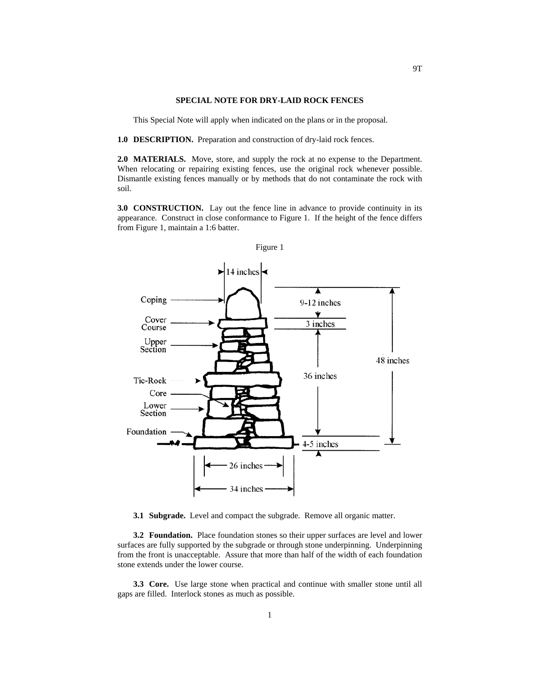## **SPECIAL NOTE FOR DRY-LAID ROCK FENCES**

This Special Note will apply when indicated on the plans or in the proposal.

**1.0 DESCRIPTION.** Preparation and construction of dry-laid rock fences.

**2.0 MATERIALS.** Move, store, and supply the rock at no expense to the Department. When relocating or repairing existing fences, use the original rock whenever possible. Dismantle existing fences manually or by methods that do not contaminate the rock with soil.

**3.0 CONSTRUCTION.** Lay out the fence line in advance to provide continuity in its appearance. Construct in close conformance to Figure 1. If the height of the fence differs from Figure 1, maintain a 1:6 batter.



**3.1 Subgrade.** Level and compact the subgrade. Remove all organic matter.

**3.2 Foundation.** Place foundation stones so their upper surfaces are level and lower surfaces are fully supported by the subgrade or through stone underpinning. Underpinning from the front is unacceptable. Assure that more than half of the width of each foundation stone extends under the lower course.

**3.3 Core.** Use large stone when practical and continue with smaller stone until all gaps are filled. Interlock stones as much as possible.

1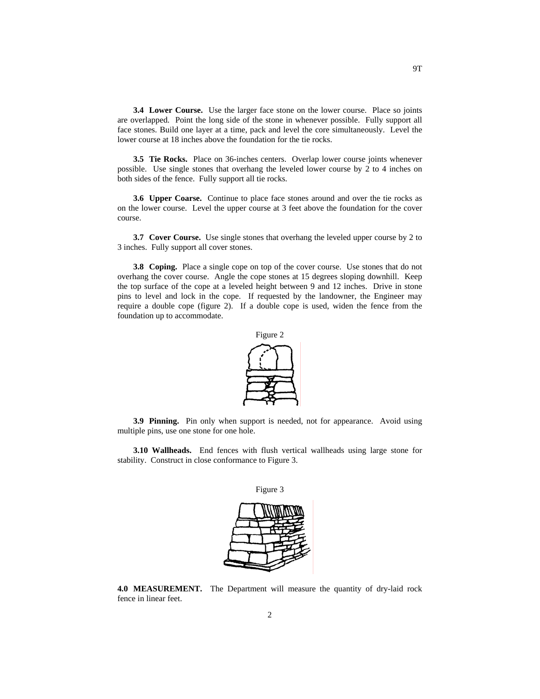**3.4 Lower Course.** Use the larger face stone on the lower course. Place so joints are overlapped. Point the long side of the stone in whenever possible. Fully support all face stones. Build one layer at a time, pack and level the core simultaneously. Level the lower course at 18 inches above the foundation for the tie rocks.

**3.5 Tie Rocks.** Place on 36-inches centers. Overlap lower course joints whenever possible. Use single stones that overhang the leveled lower course by 2 to 4 inches on both sides of the fence. Fully support all tie rocks.

**3.6 Upper Coarse.** Continue to place face stones around and over the tie rocks as on the lower course. Level the upper course at 3 feet above the foundation for the cover course.

**3.7 Cover Course.** Use single stones that overhang the leveled upper course by 2 to 3 inches. Fully support all cover stones.

**3.8 Coping.** Place a single cope on top of the cover course. Use stones that do not overhang the cover course. Angle the cope stones at 15 degrees sloping downhill. Keep the top surface of the cope at a leveled height between 9 and 12 inches. Drive in stone pins to level and lock in the cope. If requested by the landowner, the Engineer may require a double cope (figure 2). If a double cope is used, widen the fence from the foundation up to accommodate.



**3.9 Pinning.** Pin only when support is needed, not for appearance. Avoid using multiple pins, use one stone for one hole.

**3.10 Wallheads.** End fences with flush vertical wallheads using large stone for stability. Construct in close conformance to Figure 3.

Figure 3



**4.0 MEASUREMENT.** The Department will measure the quantity of dry-laid rock fence in linear feet.

2